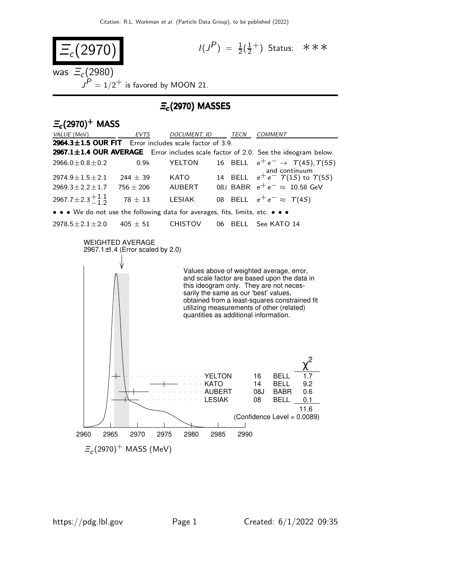

 $\varXi_c(2970)^+$  MASS (MeV)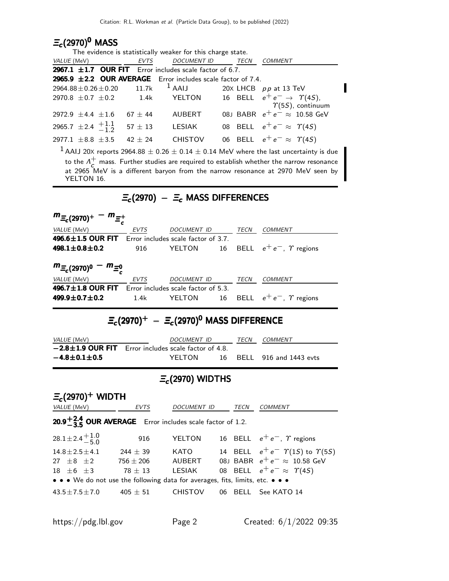### $\equiv_c$ (2970) $^{\sf 0}$  MASS

| The evidence is statistically weaker for this charge state. |             |                                                                  |             |                                                                                                              |  |
|-------------------------------------------------------------|-------------|------------------------------------------------------------------|-------------|--------------------------------------------------------------------------------------------------------------|--|
| VALUE (MeV)                                                 | <b>EVTS</b> | <b>DOCUMENT ID</b>                                               | <b>TECN</b> | <b>COMMENT</b>                                                                                               |  |
|                                                             |             | 2967.1 $\pm$ 1.7 OUR FIT Error includes scale factor of 6.7.     |             |                                                                                                              |  |
|                                                             |             | 2965.9 $\pm$ 2.2 OUR AVERAGE Error includes scale factor of 7.4. |             |                                                                                                              |  |
| $2964.88 \pm 0.26 \pm 0.20$ 11.7k                           |             | $^1$ AAIJ                                                        |             | 20 $\times$ LHCB pp at 13 TeV                                                                                |  |
| $2970.8 \pm 0.7 \pm 0.2$ 1.4k                               |             | YELTON                                                           |             | 16 BELL $e^+e^- \rightarrow \gamma(4S)$ ,<br>$\Upsilon(55)$ , continuum                                      |  |
| 2972.9 $\pm$ 4.4 $\pm$ 1.6                                  | $67 \pm 44$ | <b>AUBERT</b>                                                    |             | 08J BABR $e^+e^- \approx 10.58$ GeV                                                                          |  |
| 2965.7 $\pm$ 2.4 $\frac{+1.1}{-1.2}$                        | $57 \pm 13$ | LESIAK                                                           |             | 08 BELL $e^+e^- \approx \Upsilon(4S)$                                                                        |  |
| 2977.1 $\pm$ 8.8 $\pm$ 3.5                                  | $42 + 24$   | <b>CHISTOV</b>                                                   |             | 06 BELL $e^+e^- \approx \Upsilon(4S)$                                                                        |  |
|                                                             |             |                                                                  |             | <sup>1</sup> AAIJ 20X reports 2964.88 $\pm$ 0.26 $\pm$ 0.14 $\pm$ 0.14 MeV where the last uncertainty is due |  |
|                                                             |             |                                                                  |             | to the $\Lambda^+$ mass. Further studies are required to establish whether the narrow resonance              |  |
|                                                             |             |                                                                  |             | at 2965 MeV is a different baryon from the narrow resonance at 2970 MeV seen by                              |  |

YELTON 16.

## $\Xi_c$ (2970) –  $\Xi_c$  MASS DIFFERENCES

| $m_{\Xi_c(2970)^+} - m_{\Xi_c^+}$                                           |             |                                                    |    |             |                                  |
|-----------------------------------------------------------------------------|-------------|----------------------------------------------------|----|-------------|----------------------------------|
| VALUE (MeV)                                                                 | EVTS        | <b>DOCUMENT ID</b>                                 |    | TECN        | <b>COMMENT</b>                   |
| <b>496.6<math>\pm</math>1.5 OUR FIT</b> Error includes scale factor of 3.7. |             |                                                    |    |             |                                  |
| 498.1 $\pm$ 0.8 $\pm$ 0.2                                                   | 916         | <b>YELTON</b>                                      | 16 |             | BELL $e^+e^-$ , $\gamma$ regions |
| $m_{\Xi_c(2970)^0} - m_{\Xi_c^0}$                                           |             |                                                    |    |             | COMMENT                          |
| VALUE (MeV)<br>496.7 $\pm$ 1.8 OUR FIT                                      | <b>EVTS</b> | DOCUMENT ID<br>Error includes scale factor of 5.3. |    | TECN        |                                  |
| $499.9 \pm 0.7 \pm 0.2$                                                     | 1.4k        | YELTON                                             | 16 | <b>BELL</b> | $e^+e^-$ , $\varUpsilon$ regions |

# $\mathcal{Z}_{\boldsymbol{c}}(2970)^+$   $\mathcal{Z}_{\boldsymbol{c}}(2970)^{\boldsymbol{0}}$  MASS DIFFERENCE

| <i>VALUE</i> (MeV)     | <i>DOCUMENT ID</i>                                          | TFCN | <i>COMMENT</i>            |
|------------------------|-------------------------------------------------------------|------|---------------------------|
|                        | $= 2.8 \pm 1.9$ OUR FIT Error includes scale factor of 4.8. |      |                           |
| $-4.8 \pm 0.1 \pm 0.5$ | YFI TON                                                     |      | 16 BELL 916 and 1443 evts |

### $\Xi_c$ (2970) WIDTHS

 $\mathsf{\Xi_c}(2970)^+$  WIDTH VALUE (MeV) EVTS DOCUMENT ID TECN COMMENT  $20.9 + 2.4$  $20.9 + 2.4$  OUR AVERAGE Error includes scale factor of 1.2.  $28.1 \pm 2.4 \pm 1.0$  $-5.0$ 916 YELTON 16 BELL  $e^+e^-$ ,  $\gamma$  regions  $14.8 \pm 2.5 \pm 4.1$  244  $\pm$  39 KATO 14 BELL  $e^+e^ \Upsilon(1S)$  to  $\Upsilon(5S)$ 27  $±8$   $±2$  756  $±206$  AUBERT 08J BABR  $e^+e^- \approx 10.58$  GeV 18  $\pm$  6  $\pm$  3 78  $\pm$  13 LESIAK 08 BELL  $e^+e^- \approx \Upsilon(4S)$ • • • We do not use the following data for averages, fits, limits, etc. • • •  $43.5 \pm 7.5 \pm 7.0$   $405 \pm 51$  CHISTOV 06 BELL See KATO 14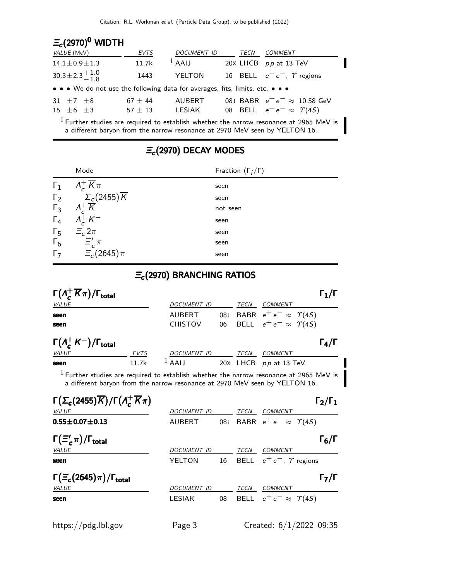| $E_c(2970)^0$ WIDTH                                                                                                   |                              |                                                                            |      |                                                                                                    |
|-----------------------------------------------------------------------------------------------------------------------|------------------------------|----------------------------------------------------------------------------|------|----------------------------------------------------------------------------------------------------|
| VALUE (MeV)                                                                                                           | <b>EVTS</b>                  | DOCUMENT ID                                                                | TECN | COMMENT                                                                                            |
| $14.1 \pm 0.9 \pm 1.3$                                                                                                | 11.7k                        | $^1$ AAIJ                                                                  |      | 20 $\times$ LHCB pp at 13 TeV                                                                      |
| $30.3 \pm 2.3 \frac{+1.0}{-1.8}$                                                                                      | 1443                         | YELTON                                                                     |      | 16 BELL $e^+e^-$ , $\gamma$ regions                                                                |
| $\bullet \bullet \bullet$ We do not use the following data for averages, fits, limits, etc. $\bullet \bullet \bullet$ |                              |                                                                            |      |                                                                                                    |
| 31 $\pm 7$ $\pm 8$<br>$15 \pm 6 \pm 3$                                                                                | $67 \pm 44$<br>$57\,\pm\,13$ | AUBERT                                                                     |      | 08J BABR $e^+e^- \approx$ 10.58 GeV<br>LESIAK 08 BELL $e^+e^- \approx \Upsilon(45)$                |
|                                                                                                                       |                              | a different baryon from the narrow resonance at 2970 MeV seen by YELTON 16 |      | <sup>1</sup> Further studies are required to establish whether the narrow resonance at 2965 MeV is |

a different baryon from the narrow resonance at 2970 MeV seen by YELTON 16.

### $\Xi_c$ (2970) DECAY MODES

|            | Mode                                                                                                          | Fraction $(\Gamma_i/\Gamma)$ |
|------------|---------------------------------------------------------------------------------------------------------------|------------------------------|
| $\Gamma_1$ | $\Lambda_c^+ \overline{K} \pi$                                                                                | seen                         |
|            | $\begin{array}{cc} \Gamma_2 & \Sigma_c(2455) \overline{K} \\ \Gamma_3 & \Lambda_c^+ \overline{K} \end{array}$ | seen                         |
|            | $\Lambda_c^+ \overline{K}$                                                                                    | not seen                     |
| $\Gamma_4$ | $\Lambda_c^{\text{+}} K^-$                                                                                    | seen                         |
| $\Gamma_5$ | $\Xi_c 2\pi$                                                                                                  | seen                         |
| $\Gamma_6$ | $\Xi_c^{\prime}$ $\pi$                                                                                        | seen                         |
| $\Gamma$   | $\Xi_c(2645)\pi$                                                                                              | seen                         |
|            |                                                                                                               |                              |

### $\mathcal{Z}_{\boldsymbol{c}}$ (2970) BRANCHING RATIOS

| $\Gamma(\Lambda^+_c\overline{K}\pi)/\Gamma_{\rm total}$                                                                                                                  |                    |            |             |                                    | $\mathsf{\Gamma}_1/\mathsf{\Gamma}$ |
|--------------------------------------------------------------------------------------------------------------------------------------------------------------------------|--------------------|------------|-------------|------------------------------------|-------------------------------------|
| <i>VALUE</i>                                                                                                                                                             | <b>DOCUMENT ID</b> |            | TECN        | <b>COMMENT</b>                     |                                     |
| seen                                                                                                                                                                     | <b>AUBERT</b>      | 08.1       |             | BABR $e^+e^- \approx \Upsilon(4S)$ |                                     |
| seen                                                                                                                                                                     | <b>CHISTOV</b>     | 06         |             | BELL $e^+e^- \approx \Upsilon(4S)$ |                                     |
| $\Gamma(\Lambda_c^+ K^-)/\Gamma_{\rm total}$                                                                                                                             |                    |            |             |                                    | $\Gamma_4/\Gamma$                   |
| <b>VALUE</b><br>EVTS                                                                                                                                                     | DOCUMENT ID        |            | TECN        | <b>COMMENT</b>                     |                                     |
| 11.7k<br>seen                                                                                                                                                            | $1$ AAIJ           |            |             | 20X LHCB pp at 13 TeV              |                                     |
| $1$ Further studies are required to establish whether the narrow resonance at 2965 MeV is<br>a different baryon from the narrow resonance at 2970 MeV seen by YELTON 16. |                    |            |             |                                    |                                     |
| $\Gamma(\Sigma_c(2455)\overline{K})/\Gamma(\Lambda_c^+\overline{K}\pi)$                                                                                                  |                    |            |             |                                    | $\Gamma_2/\Gamma_1$                 |
| <b>VALUE</b>                                                                                                                                                             | DOCUMENT ID        |            | TECN        | COMMENT                            |                                     |
| $0.55 \pm 0.07 \pm 0.13$                                                                                                                                                 | <b>AUBERT</b>      | <b>08J</b> |             | BABR $e^+e^- \approx \Upsilon(45)$ |                                     |
| $\Gamma(\Xi'_{c}\pi)/\Gamma_{\rm total}$                                                                                                                                 |                    |            |             |                                    | $\Gamma_6/\Gamma$                   |
| VALUE                                                                                                                                                                    | <b>DOCUMENT ID</b> |            | TECN        | <b>COMMENT</b>                     |                                     |
| seen                                                                                                                                                                     | YELTON             | 16         | <b>BELL</b> | $e^+e^-$ , $\gamma$ regions        |                                     |
| $\Gamma(\Xi_c(2645)\pi)/\Gamma_{\rm total}$<br>VALUE                                                                                                                     | <b>DOCUMENT ID</b> |            | TECN        | COMMENT                            | $\mathsf{\Gamma}_7/\mathsf{\Gamma}$ |
| seen                                                                                                                                                                     | <b>LESIAK</b>      | 08         | <b>BELL</b> | $e^+e^- \approx \Upsilon(4S)$      |                                     |